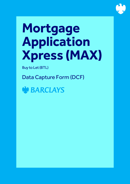

# **Mortgage Application Xpress (MAX)**

Buy to Let (BTL)

Data Capture Form (DCF)

**GN BARCLAYS**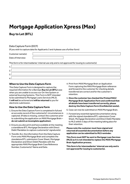# **Mortgage Application Xpress (Max)**

# **Buy to Let (BTL)**

# Data Capture Form (DCF)

(If you wish to capture data for Applicants 3 and 4 please use a further form)

Customer name(s):

Date of Interview:

This form is for intermediaries' internal use only and is not approved for issuing to customer(s)

| ⌒            |  |
|--------------|--|
| -            |  |
| $\mathbf{I}$ |  |

# **When to Use the Data Capture Form**

This Data Capture Form is designed to capture the required information for a Barclays **Buy to Let (BTL)** case when you are unable to access our On-line System or external Sourcing Systems. This Form is NOT intended to be submitted to Mortgage Loans Services (MLS). It **will not** be actioned and **will be returned** to you for electronic submission.

# **How to Use the Data Capture Form**

- 1. Ensure the Data Capture Form is completed in full and an accurate record of the customer(s)' circumstances is captured. (If data is missing, contact the customer prior to submitting the application on MAX/Mortgage Brain – **do not submit an incomplete application**).
- 2. Ensure you also print and have available at the meeting a standalone BTL Mortgage Declaration with Direct Debit Mandates to capture customer(s)' signature(s).
- 3. Transfer ALL the information from the Data Capture Form onto MAX/Mortgage Brain and complete the standalone BTL submission Cover Sheet, Mortgage Declaration and Direct Debit Mandate with the appropriate MAX/Mortgage Brain Case Reference Number, Customer(s)' Name and Date.
- 4. Print from MAX/Mortgage Brain an Application Form capturing the MAX/Mortgage Brain reference and forward to the customer for checking details transferred are correct and for the customer's retention.
- 5. **Once the customer has checked the Printed MAX/ Mortgage Brain Application Form and confirmed that all details have been transferred correctly, please destroy the Data Capture Form (Confidential waste).**
- 6. Case can now be submitted on MAX/Mortgage Brain.
- 7. Forward any essential signed documentation along with the signed standalone BTL submission Cover Sheet, Mortgage Declaration and Direct Debit Mandate to MLS within 5 days of the meeting taking place for their retention.

**Please note the customer must have signed and returned all essential documentation before any application can be submitted to MLS reminder.**

**This Form must NOT be sent to Mortgage Loan Services (MLS) as it is not intended to replace the MAX/Mortgage Brain Application process.**

**This form is for intermediaries' internal use only and is not approved for issuing to customer(s).**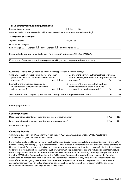| Tell us about your Loan Requirements                                                                                           |                                                                                                                                                  |
|--------------------------------------------------------------------------------------------------------------------------------|--------------------------------------------------------------------------------------------------------------------------------------------------|
| Foreign Currency Loan                                                                                                          | No<br>Yes                                                                                                                                        |
| Are all of the income or assets that will be used to service the loan denominated in sterling?                                 |                                                                                                                                                  |
| Tell me what this loan is for.                                                                                                 |                                                                                                                                                  |
| Type of Lending                                                                                                                | Buy to Let                                                                                                                                       |
| How can we help you?                                                                                                           |                                                                                                                                                  |
| Remortgage $\Box$<br>First Purchase<br>Purchase L                                                                              | Further Advance L                                                                                                                                |
| Please indicate how you would like to apply for this loan (Private name(s)/Existing SPV/LLP).                                  |                                                                                                                                                  |
|                                                                                                                                |                                                                                                                                                  |
| If this is one of a number of applications you are making at this time please indicate how many.                               |                                                                                                                                                  |
|                                                                                                                                |                                                                                                                                                  |
| Questions 1-4 below only need to be answered for applications in Private name(s)                                               |                                                                                                                                                  |
| 1. Do any of the borrowers currently own any other<br>properties that is let out on the basis of a rental<br>agreement?<br>Yes | 3. Do any of the borrowers, their partners or anyone<br>related to them, currently live in the property to be<br>No<br>mortgaged?<br>Yes<br>No   |
| 2. Are all of the properties occupied by<br>the borrowers, their partners or anyone<br>related to them?<br>Yes                 | 4. Have any of the borrowers, their partners<br>or anyone related to them, lived in the<br>property since they have owned it?<br>No<br>No<br>Yes |
| Will the property be occupied by the borrowers, their partners or anyone related to them.                                      | Yes<br>No                                                                                                                                        |
| Remortgage Purpose?                                                                                                            |                                                                                                                                                  |
|                                                                                                                                |                                                                                                                                                  |
| <b>Lending Criteria</b>                                                                                                        |                                                                                                                                                  |
| Does the main applicant meet the minimum income requirements?                                                                  | Yes<br>No                                                                                                                                        |
| Does the main applicant meet the minimum age requirements?                                                                     | No<br>Yes                                                                                                                                        |
| Main Applicant's Age?                                                                                                          |                                                                                                                                                  |

# **Company Details**

*Complete this section only where applying in name of SPV/LLP. Only available for existing SPV/LLP customers. Otherwise please go to Personal details section*

If the Applicant(s) opt(s) to borrow via an existing Barclays Special Purpose Vehicle (UK) Limited Company (SPV) and/or Limited Liability Partnership (LLP), please remember that it must be incorporated in the UK (England, Wales, Scotland or Northern Ireland) for the sole activity is to purchase and/or remortgage of residential properties for letting. It may have up to four directors/shareholders/members, all of whom must be private individuals and included on the Data Capture Form using a further form for Customers 3 and 4. We will require as additional security a Floating Charge (Debenture) from the SPV Limited Company together with a full Personal Guarantee from each director/shareholder/member. Please note we will require confirmation from the Applicant(s)' solicitor that they have received Independent Legal Advice (ILA) before signing the Personal Guarantee. The Company/LLP cannot let the property to a member or an associated company/LLP (by virtue of common directors/shareholders/members) or to any/all of the directors/ shareholders, their families or any person related to them.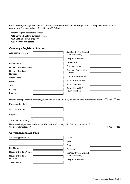For an existing Barclays SPV Limited Company to be acceptable, it must be registered at Companies House with an appropriate Standard Industry Classification (SIC) Code.

The following are acceptable codes:

- **7012 Buying & Selling own real estate**
- **7020 Letting on own property**
- **7032 Manage real estate**

House or Building

Number Street Name

# **Company's Registered Address**

| Address type - i.e. UK                                                                                             | Sub Country (i.e. England<br>/Scotland/Wales) |
|--------------------------------------------------------------------------------------------------------------------|-----------------------------------------------|
|                                                                                                                    | <b>Telephone Number</b>                       |
| <b>Flat Number</b>                                                                                                 | <b>Fax Number</b>                             |
| House or Building Name                                                                                             | <b>Company Name</b>                           |
| House or Building<br>Number                                                                                        | <b>Company Registration</b><br>Number         |
| <b>Street Name</b>                                                                                                 | Date of Incorporation                         |
| <b>District</b>                                                                                                    | No. of Shareholders                           |
| Town                                                                                                               | No. of Directors                              |
| County                                                                                                             | If Applying as LLP-<br>No. of Members         |
| Postcode                                                                                                           |                                               |
| If yes, Lender/Bank<br><b>Account Number</b><br>Purpose                                                            |                                               |
| £<br><b>Amount Outstanding</b><br>Have any changes been made to the SPV Limited Company or LLP since completion of |                                               |
| the original mortgage?                                                                                             | Yes<br>No                                     |
| <b>Correspondence Address</b>                                                                                      |                                               |
| Address type - i.e. UK                                                                                             | <b>District</b>                               |
|                                                                                                                    | Town                                          |
|                                                                                                                    | County                                        |
| <b>Flat Number</b>                                                                                                 | Postcode                                      |
| House or Building Name                                                                                             | Sub Country (i.e. England                     |

/Scotland/Wales) Telephone Number

Mortgage Application Xpress (Max) | 4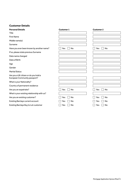# **Customer Details**

| <b>Personal Details</b>                                               | <b>Customer 1</b> | <b>Customer 2</b> |
|-----------------------------------------------------------------------|-------------------|-------------------|
| Title                                                                 |                   |                   |
| <b>First Name</b>                                                     |                   |                   |
| Middle name(s)                                                        |                   |                   |
| Surname                                                               |                   |                   |
| Have you ever been known by another name?                             | <b>No</b><br>Yes  | No<br>Yes         |
| If so, please state previous Surname                                  |                   |                   |
| Date name changed                                                     |                   |                   |
| Date of Birth                                                         |                   |                   |
| Age                                                                   |                   |                   |
| Gender                                                                |                   |                   |
| <b>Marital Status</b>                                                 |                   |                   |
| Are you a UK citizen or do you hold a<br>European Community passport? |                   |                   |
| What is your Nationality?                                             |                   |                   |
| Country of permanent residence                                        |                   |                   |
| Are you an expatriate?                                                | <b>No</b><br>Yes  | No<br>Yes         |
| What is your existing relationship with us?                           |                   |                   |
| Are you an existing customer?                                         | No<br>Yes         | No<br>Yes         |
| <b>Existing Barclays current account</b>                              | No<br>Yes         | No<br>Yes         |
| Existing Barclays Buy to Let customer                                 | No<br>Yes         | <b>No</b><br>Yes  |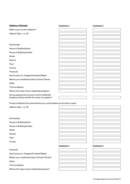| <b>Address Details</b>                                                                              | <b>Customer 1</b> | <b>Customer 2</b> |
|-----------------------------------------------------------------------------------------------------|-------------------|-------------------|
| What is your Current Address?                                                                       |                   |                   |
| Address Type-i.e. UK                                                                                |                   |                   |
|                                                                                                     |                   |                   |
|                                                                                                     |                   |                   |
| <b>Flat Number</b>                                                                                  |                   |                   |
| House or Building Name                                                                              |                   |                   |
| House or Building Number                                                                            |                   |                   |
| <b>Street</b>                                                                                       |                   |                   |
| <b>District</b>                                                                                     |                   |                   |
| Town                                                                                                |                   |                   |
| County                                                                                              |                   |                   |
| Postcode                                                                                            |                   |                   |
| Sub Country (i.e. England/Scotland/Wales)                                                           |                   |                   |
| What is your residential status? Owner/Tenant                                                       |                   |                   |
| Other                                                                                               |                   |                   |
| <b>Time at Address</b>                                                                              |                   |                   |
| What is the value of your residential property?                                                     |                   |                   |
| Are you going to let out your current residential<br>property and buy another for owner occupation? |                   |                   |

Previous Address *(if you have lived at your current address for less than 3 years)*

Address Type – i.e. UK

Flat Number House or Building Name House or Building Number Street District

Town

County

# Postcode

Sub Country (i.e. England/Scotland/Wales)

What is your residential status? (Owner/Tenant)

**Other** 

Time at Address

What is the value of your residential property?

# **Customer 1 Customer 2**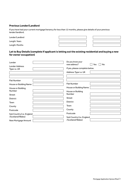# **Previous Lender/Landlord**

If you have had your current mortgage/tenancy for less than 12 months, please give details of your previous lender/landlord.

| Lender/Landlord |  |  |
|-----------------|--|--|
| Length: Years   |  |  |
| Length: Months  |  |  |

# **Let to Buy Details (complete if applicant is letting out the existing residential and buying a new for owner occupation)**

| Lender                    | Do you know your<br>new address?<br>No<br>Yes |
|---------------------------|-----------------------------------------------|
| <b>Lender Address</b>     |                                               |
| Type i.e. UK              | If yes, please complete below.                |
|                           | Address Type i.e. UK                          |
|                           |                                               |
| <b>Flat Number</b>        |                                               |
| House or Building Name    | <b>Flat Number</b>                            |
| House or Building         | House or Building Name                        |
| Number                    | House or Building                             |
| <b>Street</b>             | Number                                        |
| <b>District</b>           | <b>Street</b>                                 |
| Town                      | <b>District</b>                               |
| County                    | Town                                          |
| Postcode                  | County                                        |
| Sub Country (i.e. England | Postcode                                      |
| /Scotland/Wales)          | Sub Country (i.e. England                     |
| New Mortgage Amount       | /Scotland/Wales)                              |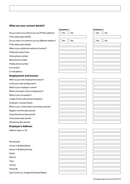# **What are your contact details?**

|                                                        | <b>Customer 1</b> | <b>Customer 2</b> |
|--------------------------------------------------------|-------------------|-------------------|
| Do you want us to write to you at a PO Box address?    | Yes<br>No         | Yes<br>No         |
| If Yes, please give details.                           |                   |                   |
| Do you want us to write to you at a different address? | No<br>Yes         | No<br>Yes         |
| If Yes, please give details.                           |                   |                   |
| What is your preferred method of contact?              |                   |                   |
| Preferred contact time                                 |                   |                   |
| Home phone number                                      |                   |                   |
| Work phone number                                      |                   |                   |
| Mobile phone number                                    |                   |                   |
| Fax number                                             |                   |                   |
| E-mail address                                         |                   |                   |
| <b>Employment and Income</b>                           |                   |                   |
| What is your main employment status?                   |                   |                   |
| Is this your main employment?                          |                   |                   |
| What is your employer's name?                          |                   |                   |
| What is the basis of your employment?                  |                   |                   |
| What is your occupation?                               |                   |                   |
| Length of time with present employer                   |                   |                   |
| <b>Employer's Contact Name</b>                         |                   |                   |
| What is your current basic income (per period)?        |                   |                   |
| Regular overtime (per period)                          |                   |                   |
| Guarantee bonus (per period)                           |                   |                   |
| Commission (per period)                                |                   |                   |
| Allowances (per period)                                |                   |                   |
| <b>Employer's Address</b>                              |                   |                   |
| Address Type i.e. UK                                   |                   |                   |
|                                                        |                   |                   |
|                                                        |                   |                   |
| <b>Flat Number</b>                                     |                   |                   |
| House or Building Name                                 |                   |                   |
| House or Building Number                               |                   |                   |
| <b>Street</b>                                          |                   |                   |
| District                                               |                   |                   |
| Town                                                   |                   |                   |
| County                                                 |                   |                   |
| Postcode                                               |                   |                   |
| Sub Country (i.e. England/Scotland/Wales)              |                   |                   |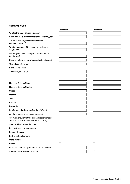# **Self Employed**

|                                                                                                 | <b>Customer 1</b> | <b>Customer 2</b>  |
|-------------------------------------------------------------------------------------------------|-------------------|--------------------|
| What is the name of your business?                                                              |                   |                    |
| When was the business established? (Month, year)                                                |                   |                    |
| Are you a partner, sole trader or limited                                                       |                   |                    |
| company director?                                                                               |                   |                    |
| What percentage of the shares in this business<br>do you own?                                   |                   |                    |
| What is your share of net profit - latest period<br>(ending on)?                                |                   |                    |
| Share or net profit - previous period (ending on)?                                              |                   |                    |
| Owned or part owned?                                                                            |                   |                    |
| <b>Business Address:</b>                                                                        |                   |                    |
| Address Type-i.e. UK                                                                            |                   |                    |
|                                                                                                 |                   |                    |
|                                                                                                 |                   |                    |
| House or Building Name                                                                          |                   |                    |
| House or Building Number                                                                        |                   |                    |
| <b>Street</b>                                                                                   |                   |                    |
| District                                                                                        |                   |                    |
| Town                                                                                            |                   |                    |
| County                                                                                          |                   |                    |
| Postcode                                                                                        |                   |                    |
| Sub Country (i.e. England/Scotland/Wales)                                                       |                   |                    |
| At what age are you planning to retire?                                                         |                   |                    |
| You must ensure that the planned retirement age<br>for all applicants is documented accurately. |                   |                    |
| <b>Source of Retirement Income</b>                                                              |                   |                    |
| Income from another property                                                                    |                   |                    |
| <b>Personal Pension</b>                                                                         |                   |                    |
| Part-time Employment                                                                            |                   |                    |
| <b>State Pension</b>                                                                            |                   |                    |
| Other                                                                                           |                   |                    |
| Please give details (applicable if 'Other' selected).                                           |                   |                    |
| Amount of Net Income per month                                                                  | $\pmb{\epsilon}$  | $\pmb{\mathsf{E}}$ |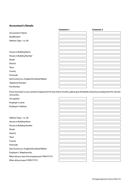# **Accountant's Details**

|                                           | <b>Customer 1</b> | <b>Customer 2</b> |  |
|-------------------------------------------|-------------------|-------------------|--|
| <b>Accountant's Name</b>                  |                   |                   |  |
| Qualification                             |                   |                   |  |
| Address Type-i.e. UK                      |                   |                   |  |
|                                           |                   |                   |  |
|                                           |                   |                   |  |
| House or Building Name                    |                   |                   |  |
| House or Building Number                  |                   |                   |  |
| <b>Street</b>                             |                   |                   |  |
| District                                  |                   |                   |  |
| Town                                      |                   |                   |  |
| County                                    |                   |                   |  |
| Postcode                                  |                   |                   |  |
| Sub Country (i.e. England/Scotland/Wales) |                   |                   |  |
| Telephone Number                          |                   |                   |  |
| Fax Number                                |                   |                   |  |

If you have been in your present employment for less than 6 months, please give full details of previous employment for the last 18 months.

**Occupation** 

Employer's name

Employer's Address

Address Type – i.e. UK House or Building Name

House or Building Number

Street

District

Town

County

Postcode

Sub Country (i.e. England/Scotland/Wales)

Employer's Telephone No.

When did you start this employment? (MM/YYYY)

When did you leave? (MM/YYYY)

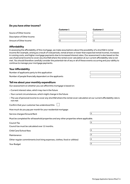# **Do you have other income?**

|                             | <b>Customer 1</b> | <b>Customer 2</b> |
|-----------------------------|-------------------|-------------------|
| Source of Other Income      |                   |                   |
| Description of Other Income |                   |                   |
| Amount of Other Income      |                   |                   |

# **Affordability**

In assessing the affordability of this mortgage, we make assumptions about the possibility of a shortfall in rental income (for example, arising as a result of void periods, rental arrears or lower than expected rental income), increases in running costs, and higher mortgage payments due to increased interest rates. Our assessment is also based on the use of personal income to cover any shortfall where the rental cover calculation at our current affordability rate is not met. You should therefore carefully consider the potential risk of any or all of these events occurring and your ability to continue to manage your mortgage payments.

# **Your Affordability**

Number of applicants party to this application

Number of people financially dependent on the applicants

# **Tell me about your monthly expenditure**

Our assessment on whether you can afford this mortgage is based on:

– Current interest rates, which may rise in the future

- Your current circumstances, which might change in the future
- The use of personal income to cover any shortfall where the rental cover calculation at our current affordability rate is not met

Confirm that your customer has understood this [

How much do you pay per month for your residential mortgage:

Service charges/Ground Rent  $\mathsf{E}$ 

Must be completed for all leasehold properties and any other properties where applicable.

 ${\sf Count}$  Tax  ${\sf E}$ 

Council tax must be calculated over 12 months.

Child Care/School fees £

**Maintenance** 

Other regular commitments (not living expenses, clothes, food or utilities) £

Your Budget



| Έ          |  |
|------------|--|
|            |  |
| $\epsilon$ |  |
|            |  |
| $\epsilon$ |  |
|            |  |
| $\epsilon$ |  |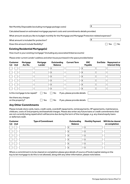Net Monthly Disposable (excluding mortgage package costs) **£**

Calculated based on estimated mortgage payment costs and commitments details provided.

What amount would you like to budget monthly for the Mortgage and Mortgage Protection related expenses?

What amount is included for protection? **E** 

Does this amount include flexibility?  $\Box$  Yes  $\Box$  No

# **Existing Residential Mortgage(s)**

How much is your existing mortgage? (including any associated linked accounts)

*Please enter current Lender's address and when house purchased in the space provided below*

| <b>Customer</b><br>1st 2nd                                                               | Mortgage<br>Acc No.            | Mortgage<br>Lender | Outstanding<br><b>Balance</b> |  | <b>Current Term</b>            | <b>ERC</b><br>Payable | <b>End Date</b> | <b>Repayment or</b><br><b>Interest Only</b> |
|------------------------------------------------------------------------------------------|--------------------------------|--------------------|-------------------------------|--|--------------------------------|-----------------------|-----------------|---------------------------------------------|
|                                                                                          |                                |                    | £                             |  |                                | £                     |                 |                                             |
|                                                                                          |                                |                    | £                             |  |                                | £                     |                 |                                             |
|                                                                                          |                                |                    | £                             |  |                                | £                     |                 |                                             |
|                                                                                          |                                |                    | £                             |  |                                | £                     |                 |                                             |
|                                                                                          |                                |                    | £                             |  |                                | £                     |                 |                                             |
|                                                                                          |                                |                    | £                             |  |                                | £                     |                 |                                             |
|                                                                                          | Is this mortgage to be repaid? | Yes                | No                            |  | If yes, please provide details |                       |                 |                                             |
| Are there any charges<br>on the property?<br>If yes, please provide details<br>No<br>Yes |                                |                    |                               |  |                                |                       |                 |                                             |

# **Any Other Commitments**

Please include store cards, loans, credit cards, overdraft repayments, rental payments, HP agreements, maintenance, childcare, costs of 2nd property and leasehold charges. Please also enter any future loans or credit commitments that are not currently being repaid which will become due during the term of the mortgage, e.g. any shared equity loans or deferred credit.

| <b>Customer</b><br>1st 2nd | <b>Type of Commitment</b> | Outstanding<br><b>Balance</b> | <b>Monthly Payment</b> | Will this be cleared<br>on completion |
|----------------------------|---------------------------|-------------------------------|------------------------|---------------------------------------|
|                            |                           | £                             | £                      |                                       |
|                            |                           | £                             | £                      |                                       |
|                            |                           | £                             | $\epsilon$             |                                       |
|                            |                           | £                             | £                      |                                       |
|                            |                           | £                             | f                      |                                       |
|                            |                           | £                             | £                      |                                       |

Where a commitment is to be cleared on completion please give details of source of funds (capital raising on the buy to let mortgage to do this is not allowed), along with any other information, please note below.

| Mortgage<br>Lender | Outstanding<br><b>Balance</b> | <b>Current Term</b> | <b>ERC</b><br>Payable | <b>End Date</b> Repayment or<br><b>Interest Only</b> |
|--------------------|-------------------------------|---------------------|-----------------------|------------------------------------------------------|
|                    | £                             |                     | £                     |                                                      |
|                    | £                             |                     | £                     |                                                      |
|                    | £                             |                     | £                     |                                                      |
|                    | £                             |                     | £                     |                                                      |
|                    | £                             |                     | £                     |                                                      |
|                    | £                             |                     | £                     |                                                      |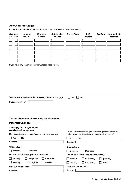# **Any Other Mortgages**

Please include details of any other Buy to Let or Permission to Let Properties.

| <b>Customer</b><br>1st 2nd                                                                                                                                                                                                                                                                                                                  | Mortgage<br>Acc No.                                   | Mortgage<br>Lender | Outstanding<br><b>Balance</b> | <b>Current Term</b>    | <b>ERC</b><br><b>Payable</b>            | <b>End Date</b> | <b>Monthly Rent</b><br><b>Received</b> |  |
|---------------------------------------------------------------------------------------------------------------------------------------------------------------------------------------------------------------------------------------------------------------------------------------------------------------------------------------------|-------------------------------------------------------|--------------------|-------------------------------|------------------------|-----------------------------------------|-----------------|----------------------------------------|--|
|                                                                                                                                                                                                                                                                                                                                             |                                                       |                    | £                             |                        | £                                       |                 |                                        |  |
|                                                                                                                                                                                                                                                                                                                                             |                                                       |                    | £                             |                        | £                                       |                 |                                        |  |
|                                                                                                                                                                                                                                                                                                                                             |                                                       |                    | £                             |                        | £                                       |                 |                                        |  |
|                                                                                                                                                                                                                                                                                                                                             |                                                       |                    | £                             |                        | £                                       |                 |                                        |  |
|                                                                                                                                                                                                                                                                                                                                             |                                                       |                    | £                             |                        | £                                       |                 |                                        |  |
|                                                                                                                                                                                                                                                                                                                                             |                                                       |                    | £                             |                        | £                                       |                 |                                        |  |
|                                                                                                                                                                                                                                                                                                                                             | If you have any other information, please note below. |                    |                               |                        |                                         |                 |                                        |  |
| Will the mortgage be used to repay any of these mortgages?<br>$\Box$ Yes<br>No<br>£<br>If yes, how much?                                                                                                                                                                                                                                    |                                                       |                    |                               |                        |                                         |                 |                                        |  |
|                                                                                                                                                                                                                                                                                                                                             | Tell me about your borrowing requirements             |                    |                               |                        |                                         |                 |                                        |  |
|                                                                                                                                                                                                                                                                                                                                             |                                                       |                    |                               |                        |                                         |                 |                                        |  |
| <b>Potential Changes</b><br>A mortgage that is right for you<br><b>Anticipated circumstances</b><br>Do you anticipate any significant changes in expenditure,<br>Do you anticipate any significant changes in income?<br>including any increase in your residential mortgage?<br>$\Box$ Yes<br>No<br>Yes<br>$\Box$ No<br>Reasons<br>Reasons |                                                       |                    |                               |                        |                                         |                 |                                        |  |
| <b>Change type</b>                                                                                                                                                                                                                                                                                                                          |                                                       |                    |                               | <b>Change type</b>     |                                         |                 |                                        |  |
| Increase                                                                                                                                                                                                                                                                                                                                    | Decrease                                              |                    |                               | Increase               | Decrease                                |                 |                                        |  |
|                                                                                                                                                                                                                                                                                                                                             | How much is the change (and how often)?               |                    |                               |                        | How much is the change (and how often)? |                 |                                        |  |
| annually                                                                                                                                                                                                                                                                                                                                    | half-yearly                                           |                    | quarterly                     | annually               | half-yearly                             |                 | quarterly                              |  |
| monthly                                                                                                                                                                                                                                                                                                                                     | fortnightly                                           | weekly             |                               | monthly                | fortnightly                             | weekly          |                                        |  |
|                                                                                                                                                                                                                                                                                                                                             | When will this happen?                                |                    |                               | When will this happen? |                                         |                 |                                        |  |
| Reasons                                                                                                                                                                                                                                                                                                                                     |                                                       |                    |                               | Reasons                |                                         |                 |                                        |  |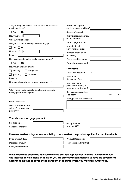| mortgage term?                                                                                                                                                                              | Are you likely to receive a capital lump sum within the                                              | How much deposit<br>equity are you providing?                                                                                                          |                    |
|---------------------------------------------------------------------------------------------------------------------------------------------------------------------------------------------|------------------------------------------------------------------------------------------------------|--------------------------------------------------------------------------------------------------------------------------------------------------------|--------------------|
| Yes<br>No                                                                                                                                                                                   |                                                                                                      | Source of deposit                                                                                                                                      |                    |
| £<br>How much?                                                                                                                                                                              |                                                                                                      | If remortgage: summary<br>of requirements                                                                                                              |                    |
| When will this happen?                                                                                                                                                                      |                                                                                                      | Remortgage Amount                                                                                                                                      |                    |
| Will you use it to repay any of this mortgage?<br>Yes<br>No<br>How much?<br>£<br>Reasons<br>Do you expect to make regular overpayments?<br>Yes<br>No<br>How much and how often?<br>annually | half-yearly                                                                                          | Any additional<br>borrowing required?<br>Purpose of additional<br>borrowing<br>Fee to be added to loan<br>Future borrowing need<br><b>Loan Details</b> |                    |
| monthly<br>quarterly                                                                                                                                                                        |                                                                                                      | <b>Total Loan Required</b>                                                                                                                             | $\pmb{\mathsf{E}}$ |
| Reasons                                                                                                                                                                                     |                                                                                                      | Reason for<br><b>Repayment Type</b>                                                                                                                    |                    |
| How long do you intend to keep the property?<br>What would the impact of a significant increase in<br>mortgage rates be to you?<br><b>Purchase Details</b><br>What is the estimated         |                                                                                                      | Over how many<br>years/months do you<br>want to repay the loan?<br>Do you want to consider<br>a split term?<br>If Yes, please provide details          | Yes<br>No          |
| value of the proposed<br>property?<br>Your chosen mortgage product                                                                                                                          |                                                                                                      |                                                                                                                                                        |                    |
| Product Type                                                                                                                                                                                |                                                                                                      | Group Scheme                                                                                                                                           |                    |
| <b>Sanction Reference</b>                                                                                                                                                                   |                                                                                                      | Number (GSN)                                                                                                                                           |                    |
|                                                                                                                                                                                             | Please note that it is your responsibility to ensure that the product applied for is still available |                                                                                                                                                        |                    |
| <b>Initial Interest Rate</b>                                                                                                                                                                |                                                                                                      | <b>Product Description</b>                                                                                                                             |                    |
| Mortgage amount                                                                                                                                                                             | £                                                                                                    | Term (years and months)                                                                                                                                |                    |
| Repayment method                                                                                                                                                                            |                                                                                                      |                                                                                                                                                        |                    |

**Please note you should be advised to have a suitable replacement vehicle in place to repay the interest only element. In addition you are strongly recommended to have life cover/term assurance in place to cover the full amount of all sums which you may borrow from us.**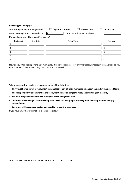# **Repaying your Mortgage**

| Which repayment type would you like?                |                 | Capital and Interest | Interest Only                 |   | Part and Part |
|-----------------------------------------------------|-----------------|----------------------|-------------------------------|---|---------------|
| Amount on capital and interest basis                |                 | £                    | Amount on interest only basis |   |               |
| If Interest only, how will you pay off the capital? |                 |                      |                               |   |               |
| Projected                                           | <b>End Date</b> | Policy Type          |                               |   | Premium       |
|                                                     |                 |                      |                               |   |               |
|                                                     |                 |                      |                               | £ |               |
|                                                     |                 |                      |                               | £ |               |
|                                                     |                 |                      |                               | f |               |
|                                                     |                 |                      |                               | £ |               |

How do you intend to repay the new mortgage? If you choose an interest only mortgage, what repayment vehicle do you intend to use? (include Plausibility Calculation in box below)

Where **Interest Only**, make the customer aware of the following:

**– They must have a suitable repayment plan in place to pay off their mortgage balance at the end of the agreed term**

- **– Their responsibility to ensure that the repayment plan is on target to repay the mortgage at maturity**
- **– You have not provided any advice in respect of the repayment plan**
- **Customer acknowledges that they may have to sell the mortgaged property upon maturity in order to repay the mortgage**
- **– Customer will be required to sign a declaration to confirm the above**

If you have any other information, please note below.

Would you like to add the product fee to the loan?  $\Box$  Yes  $\Box$  No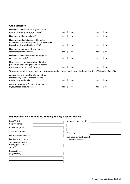# **Credit History**

| Have you ever had arrears of greater than<br>one month on any mortgage or loan?                                                     | No<br>Yes  | No<br>Yes |
|-------------------------------------------------------------------------------------------------------------------------------------|------------|-----------|
| Have you ever been bankrupt?                                                                                                        | Yes<br>No  | No<br>Yes |
| Have you ever had a judgement for debt,<br>or any default recorded against you or a company<br>in which you hold/held at least 15%? | No<br>Yes  | No<br>Yes |
| Have you ever entered into a voluntary<br>arrangement with creditors?                                                               | Yes<br>No. | No<br>Yes |
| Have you ever been refused a mortgage or<br>any other bad credit?                                                                   | Yes<br>No  | No<br>Yes |
| Have you ever been convicted of (or have<br>prosecutions pending relating to) acts of<br>dishonesty, such as theft or fraud?        | No<br>Yes  | No<br>Yes |
| You are not required to include convictions regarded as 'spent' by virtue of the Rehabilitation of Offenders Act 1974.              |            |           |
| Are you currently applying for any other<br>mortgage(s), loan(s) or credit? If yes,<br>please capture details.                      | No<br>Yes  | No<br>Yes |
| Are you a guarantor for any other loans?<br>If yes, please capture details.                                                         | No<br>Yes  | No<br>Yes |

# **Payment Details – Your Bank/Building Society Account Details**

| Bank/Building<br>Society name                                                | Address type-i.e. UK      |
|------------------------------------------------------------------------------|---------------------------|
| <b>Bank Sort Code</b>                                                        |                           |
| <b>Account Number</b>                                                        | Postcode                  |
| Names account held in                                                        | Sub Country (i.e. England |
| Is this the account on<br>which you want the<br>mortgage DD to be<br>set up? | /Scotland/Wales)          |
| <b>Bank Address</b><br>(if applicable)                                       |                           |
|                                                                              |                           |
|                                                                              |                           |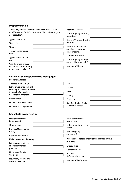# **Property Details**

*Studio flat, bedsits and properties which are classified as a House in Multiple Occupation subject to licensing are not acceptable.*

| not acceptable.                                         | rented out?                           |
|---------------------------------------------------------|---------------------------------------|
| Type of Property                                        | Current/Proposed letting              |
| Year built                                              | method                                |
| Tenure                                                  | What is your actual or                |
| Type of construction:<br>walls                          | anticipated monthly<br>rental income? |
| Type of construction:                                   | Number of Tenants                     |
| roof                                                    | Is the property arranged              |
| Was the property ever                                   | as more than one unit?                |
| owned by a local authority p<br>or housing association? | Number of Storeys                     |

Additional details

Is the property currently

# **Details of the Property to be mortgaged**

| <b>Property Address</b>                                      |  |
|--------------------------------------------------------------|--|
| Address Type-i.e. UK                                         |  |
| Is this property a new build<br>currently under construction |  |
| for which a Postcode has<br>not yet been allocated?          |  |
| <b>Flat Number</b>                                           |  |

| <b>Street</b>                                 |  |
|-----------------------------------------------|--|
| <b>District</b>                               |  |
| Town                                          |  |
| County                                        |  |
| Postcode                                      |  |
| Sub Country (i.e. England<br>/Scotland/Wales) |  |

Ĕ

# **Leasehold properties only**

House or Building Name House or Building Number

| Unexpired term of<br>lease (years) | What storey is this<br>property on?               |  |
|------------------------------------|---------------------------------------------------|--|
| Ground rent                        | Is the property purpose                           |  |
| Service/Maintenance                | built?                                            |  |
| Charge                             | Is the property                                   |  |
| <b>Payment Frequency</b>           | converted?                                        |  |
| <b>Maisonettes and flats only</b>  | Please enter details of any other charges on this |  |
| Is the property situated           | property                                          |  |
|                                    |                                                   |  |
| above commercial                   | Charge Type                                       |  |
| premises?                          | Company Name                                      |  |
| Number of flats in                 | Account/                                          |  |
| the block                          | Reference Number                                  |  |

 $\overline{a}$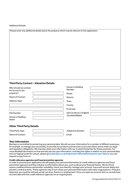# Additional Details

Please enter any additional details about the property which may be relevant to this application:

# **Third Party Contact – Valuation Details**

| Who should we contact<br>for access to the | House or Building<br>Number |  |
|--------------------------------------------|-----------------------------|--|
| property?                                  | <b>Street</b>               |  |
| Name of Contact                            | <b>District</b>             |  |
| <b>Address Type</b>                        | Town                        |  |
|                                            | County                      |  |
|                                            | Postcode                    |  |
| <b>Flat Number</b>                         | Sub Country (i.e. England   |  |
| House or Building<br>Name                  | /Scotland/Wales)            |  |
|                                            |                             |  |

# **Other Third Party Details**

| Third Party Type | Telephone Number |  |
|------------------|------------------|--|
| Name of Contact  | Email            |  |

# **Your information**

Barclays is committed to protecting your personal data. We will use your information for a number of different purposes, for example, to manage your account(s), to provide our products and services to you and others and to meet our legal and regulatory obligations. We may also share your information with our trusted 3rd parties for these purposes. For more detailed information on how and why we use your information, including the rights in relation to your personal data, and our legal grounds for using it, please go to **[barclays.co.uk/important-information/control-your-data](http://www.barclays.co.uk/important-information/control-your-data)** or you can request a copy from us.

## **Credit reference agencies and fraud prevention agencies**

In order to process your application we will supply your personal information to credit reference agencies and fraud prevention agencies and they will give us information about you, such as about your financial history. We do this to assess creditworthiness and product suitability, check your identity, manage your account, trace and recover debts and prevent criminal activity. These agencies may in turn share your personal information with other organisations. If fraud is detected, you could be refused certain services, finance or employment. Once you open an account with us, we will share account data with the credit reference agencies on an ongoing basis.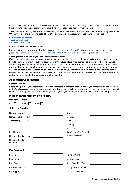If false or inaccurate information is provided to us and fraud is identified, details may be passed to credit reference and fraud prevention agencies to prevent fraud and money laundering and to verify your identity.

The Credit Reference Agency Information Notice (CRAIN) describes how the three main credit reference agencies in the UK each use and share personal data. The CRAIN is available on the credit reference agencies' websites:

- **[transunion.co.uk/crain](http://transunion.co.uk/crain)**
- **[equifax.co.uk/crain](http://www.equifax.co.uk/crain)**
- **[experian.co.uk/crain](http://www.experian.co.uk/crain)**

Or you can ask us for a copy of these.

For more details on how information held by credit reference agencies and fraud prevention agencies may be used, please go to **[barclays.co.uk/important-information/control-your-data](http://www.barclays.co.uk/important-information/control-your-data)** or you can request a copy from us.

## **Sharing information about you with tax authorities abroad**

If we have reason to think that you are required to report your income or are subject to tax in another country, we may have to share information about your accounts with the UK or relevant tax authorities, either directly or via the local tax authority who may share that information with the appropriate tax authorities abroad. If we need to request extra documents or information from you about this, you must supply these. If you don't, you agree that we may close your account, or, if the law or other regulations requires us to do so, you agree that we may withhold parts of certain payments received into your account and pass withheld funds to the relevant tax authorities (this is more likely if you leave the UK and become resident for tax purposes in another country).

# **Application Confirmation**

## **Contact Method**

By providing us with your information, e.g. email address and/or mobile phone number, you agree that we and members of the Barclays Group may inform you by letter, telephone, text, email and other electronic methods about products and services (including those of others) that may interest you. If you prefer not to receive such communications, please tell us.

# **Please tick the relevant boxes below**

## **Do not contact by:**

Mail Phone  $\Box$  Other  $\Box$ 

# **Solicitor Details**

| Name of Contact        | <b>Street</b>             |
|------------------------|---------------------------|
| Name of Solicitor Firm | <b>District</b>           |
| Address type - i.e. UK | Town                      |
|                        | Country                   |
|                        | Postcode                  |
| <b>Flat Number</b>     | Sub Country (i.e. England |
| House or Building Name | /Scotland/Wales)          |
| House or Building      |                           |
| Number                 |                           |

# **Fee Payment**

| Fee Type       | Name on Card             |  |
|----------------|--------------------------|--|
| Fee Amount     | <b>Card Number</b>       |  |
| Paid Date      | Start Date (MM/YY)       |  |
| Payment Method | Expiry Date (MM/YY)      |  |
| Card Type      | <b>Card Issue Number</b> |  |